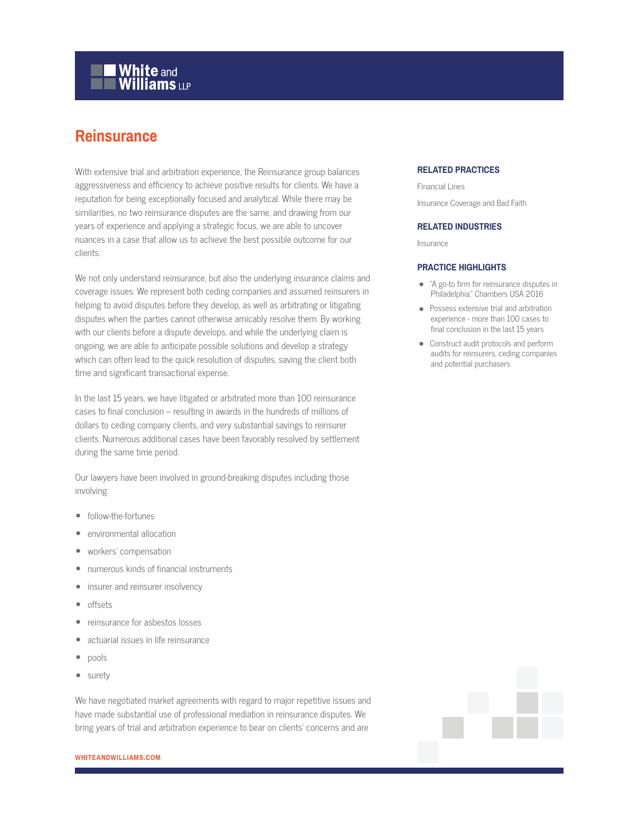# **White and Williams LLP**

# **Reinsurance**

With extensive trial and arbitration experience, the Reinsurance group balances aggressiveness and efficiency to achieve positive results for clients. We have a reputation for being exceptionally focused and analytical. While there may be similarities, no two reinsurance disputes are the same, and drawing from our years of experience and applying a strategic focus, we are able to uncover nuances in a case that allow us to achieve the best possible outcome for our clients.

We not only understand reinsurance, but also the underlying insurance claims and coverage issues. We represent both ceding companies and assumed reinsurers in helping to avoid disputes before they develop, as well as arbitrating or litigating disputes when the parties cannot otherwise amicably resolve them. By working with our clients before a dispute develops, and while the underlying claim is ongoing, we are able to anticipate possible solutions and develop a strategy which can often lead to the quick resolution of disputes, saving the client both time and significant transactional expense.

In the last 15 years, we have litigated or arbitrated more than 100 reinsurance cases to final conclusion – resulting in awards in the hundreds of millions of dollars to ceding company clients, and very substantial savings to reinsurer clients. Numerous additional cases have been favorably resolved by settlement during the same time period.

Our lawyers have been involved in ground-breaking disputes including those involving:

- follow-the-fortunes
- environmental allocation
- workers' compensation
- numerous kinds of financial instruments
- insurer and reinsurer insolvency
- offsets
- reinsurance for asbestos losses
- actuarial issues in life reinsurance
- pools
- surety

We have negotiated market agreements with regard to major repetitive issues and have made substantial use of professional mediation in reinsurance disputes. We bring years of trial and arbitration experience to bear on clients' concerns and are

### **RELATED PRACTICES**

Financial Lines Insurance Coverage and Bad Faith

#### **RELATED INDUSTRIES**

Insurance

#### **PRACTICE HIGHLIGHTS**

- "A go-to firm for reinsurance disputes in Philadelphia," Chambers USA 2016
- Possess extensive trial and arbitration experience - more than 100 cases to final conclusion in the last 15 years
- Construct audit protocols and perform audits for reinsurers, ceding companies and potential purchasers

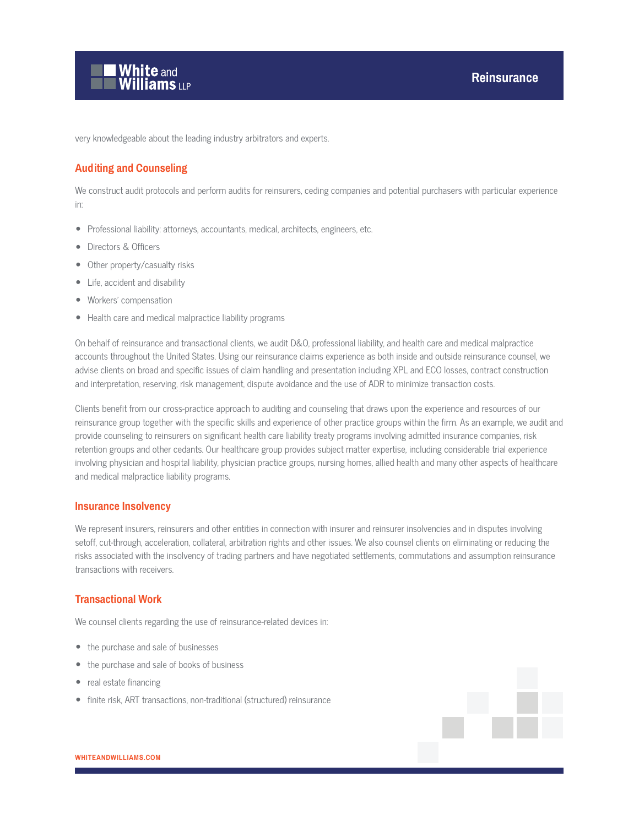

very knowledgeable about the leading industry arbitrators and experts.

### **Auditing and Counseling**

We construct audit protocols and perform audits for reinsurers, ceding companies and potential purchasers with particular experience in:

- Professional liability: attorneys, accountants, medical, architects, engineers, etc.
- Directors & Officers
- Other property/casualty risks
- Life, accident and disability
- Workers' compensation
- Health care and medical malpractice liability programs

On behalf of reinsurance and transactional clients, we audit D&O, professional liability, and health care and medical malpractice accounts throughout the United States. Using our reinsurance claims experience as both inside and outside reinsurance counsel, we advise clients on broad and specific issues of claim handling and presentation including XPL and ECO losses, contract construction and interpretation, reserving, risk management, dispute avoidance and the use of ADR to minimize transaction costs.

Clients benefit from our cross-practice approach to auditing and counseling that draws upon the experience and resources of our reinsurance group together with the specific skills and experience of other practice groups within the firm. As an example, we audit and provide counseling to reinsurers on significant health care liability treaty programs involving admitted insurance companies, risk retention groups and other cedants. Our healthcare group provides subject matter expertise, including considerable trial experience involving physician and hospital liability, physician practice groups, nursing homes, allied health and many other aspects of healthcare and medical malpractice liability programs.

#### **Insurance Insolvency**

We represent insurers, reinsurers and other entities in connection with insurer and reinsurer insolvencies and in disputes involving setoff, cut-through, acceleration, collateral, arbitration rights and other issues. We also counsel clients on eliminating or reducing the risks associated with the insolvency of trading partners and have negotiated settlements, commutations and assumption reinsurance transactions with receivers.

#### **Transactional Work**

We counsel clients regarding the use of reinsurance-related devices in:

- the purchase and sale of businesses
- the purchase and sale of books of business
- real estate financing
- finite risk, ART transactions, non-traditional (structured) reinsurance

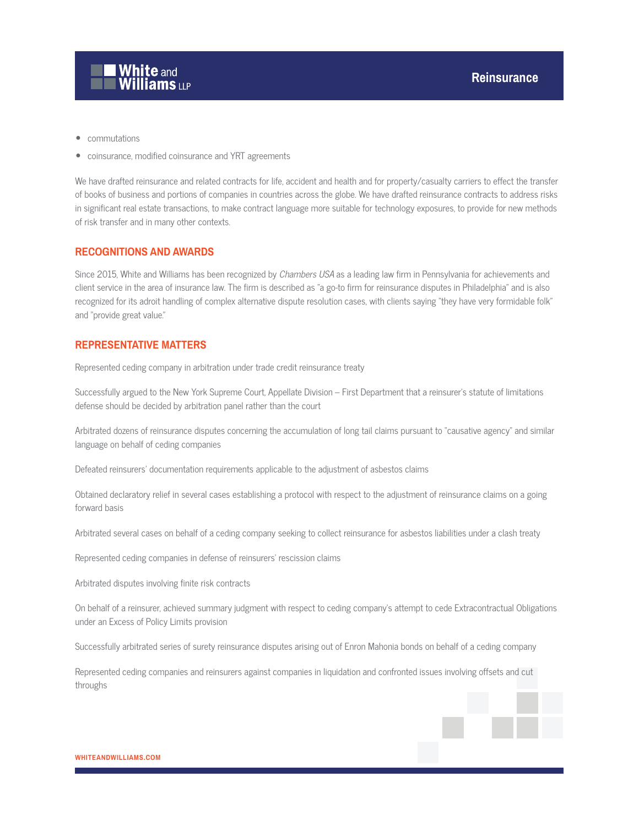

- commutations
- coinsurance, modified coinsurance and YRT agreements

We have drafted reinsurance and related contracts for life, accident and health and for property/casualty carriers to effect the transfer of books of business and portions of companies in countries across the globe. We have drafted reinsurance contracts to address risks in significant real estate transactions, to make contract language more suitable for technology exposures, to provide for new methods of risk transfer and in many other contexts.

#### **RECOGNITIONS AND AWARDS**

Since 2015, White and Williams has been recognized by Chambers USA as a leading law firm in Pennsylvania for achievements and client service in the area of insurance law. The firm is described as "a go-to firm for reinsurance disputes in Philadelphia" and is also recognized for its adroit handling of complex alternative dispute resolution cases, with clients saying "they have very formidable folk" and "provide great value."

### **REPRESENTATIVE MATTERS**

Represented ceding company in arbitration under trade credit reinsurance treaty

Successfully argued to the New York Supreme Court, Appellate Division – First Department that a reinsurer's statute of limitations defense should be decided by arbitration panel rather than the court

Arbitrated dozens of reinsurance disputes concerning the accumulation of long tail claims pursuant to "causative agency" and similar language on behalf of ceding companies

Defeated reinsurers' documentation requirements applicable to the adjustment of asbestos claims

Obtained declaratory relief in several cases establishing a protocol with respect to the adjustment of reinsurance claims on a going forward basis

Arbitrated several cases on behalf of a ceding company seeking to collect reinsurance for asbestos liabilities under a clash treaty

Represented ceding companies in defense of reinsurers' rescission claims

Arbitrated disputes involving finite risk contracts

On behalf of a reinsurer, achieved summary judgment with respect to ceding company's attempt to cede Extracontractual Obligations under an Excess of Policy Limits provision

Successfully arbitrated series of surety reinsurance disputes arising out of Enron Mahonia bonds on behalf of a ceding company

Represented ceding companies and reinsurers against companies in liquidation and confronted issues involving offsets and cut throughs

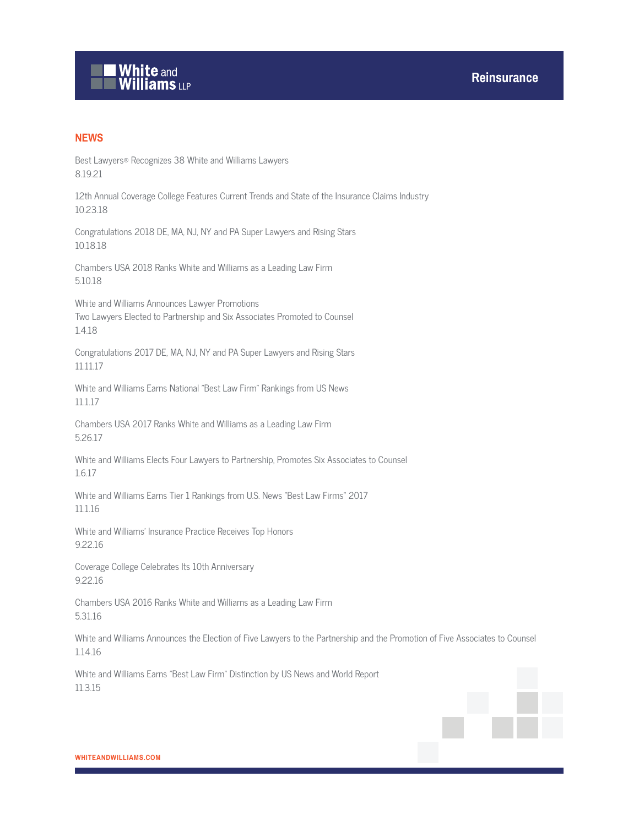# **White and Williams LLP**

## **NEWS**

Best Lawyers® Recognizes 38 White and Williams Lawyers 8.19.21

12th Annual Coverage College Features Current Trends and State of the Insurance Claims Industry 10.23.18

Congratulations 2018 DE, MA, NJ, NY and PA Super Lawyers and Rising Stars 10.18.18

Chambers USA 2018 Ranks White and Williams as a Leading Law Firm 5.10.18

White and Williams Announces Lawyer Promotions Two Lawyers Elected to Partnership and Six Associates Promoted to Counsel 1.4.18

Congratulations 2017 DE, MA, NJ, NY and PA Super Lawyers and Rising Stars 11.11.17

White and Williams Earns National "Best Law Firm" Rankings from US News 11.1.17

Chambers USA 2017 Ranks White and Williams as a Leading Law Firm 5.26.17

White and Williams Elects Four Lawyers to Partnership, Promotes Six Associates to Counsel 1.6.17

White and Williams Earns Tier 1 Rankings from U.S. News "Best Law Firms" 2017 11.1.16

White and Williams' Insurance Practice Receives Top Honors 9.22.16

Coverage College Celebrates Its 10th Anniversary 9.22.16

Chambers USA 2016 Ranks White and Williams as a Leading Law Firm 5.31.16

White and Williams Announces the Election of Five Lawyers to the Partnership and the Promotion of Five Associates to Counsel 1.14.16

White and Williams Earns "Best Law Firm" Distinction by US News and World Report 11.3.15

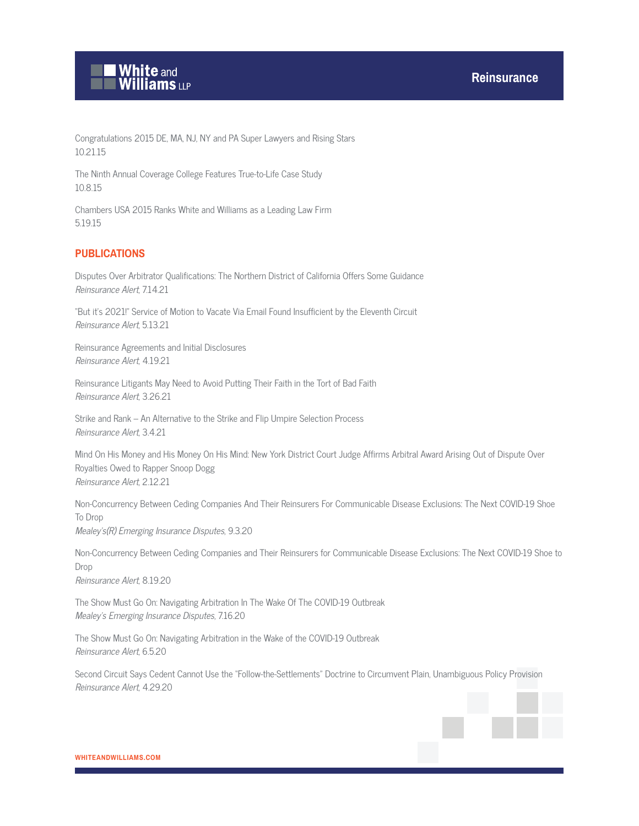

Congratulations 2015 DE, MA, NJ, NY and PA Super Lawyers and Rising Stars 10.21.15

The Ninth Annual Coverage College Features True-to-Life Case Study 10.8.15

Chambers USA 2015 Ranks White and Williams as a Leading Law Firm 5.19.15

#### **PUBLICATIONS**

Disputes Over Arbitrator Qualifications: The Northern District of California Offers Some Guidance Reinsurance Alert, 7.14.21

"But it's 2021!" Service of Motion to Vacate Via Email Found Insufficient by the Eleventh Circuit Reinsurance Alert, 5.13.21

Reinsurance Agreements and Initial Disclosures Reinsurance Alert, 4.19.21

Reinsurance Litigants May Need to Avoid Putting Their Faith in the Tort of Bad Faith Reinsurance Alert, 3.26.21

Strike and Rank – An Alternative to the Strike and Flip Umpire Selection Process Reinsurance Alert, 3.4.21

Mind On His Money and His Money On His Mind: New York District Court Judge Affirms Arbitral Award Arising Out of Dispute Over Royalties Owed to Rapper Snoop Dogg Reinsurance Alert, 2.12.21

Non-Concurrency Between Ceding Companies And Their Reinsurers For Communicable Disease Exclusions: The Next COVID-19 Shoe To Drop Mealey's(R) Emerging Insurance Disputes, 9.3.20

Non-Concurrency Between Ceding Companies and Their Reinsurers for Communicable Disease Exclusions: The Next COVID-19 Shoe to Drop Reinsurance Alert, 8.19.20

The Show Must Go On: Navigating Arbitration In The Wake Of The COVID-19 Outbreak Mealey's Emerging Insurance Disputes, 7.16.20

The Show Must Go On: Navigating Arbitration in the Wake of the COVID-19 Outbreak Reinsurance Alert, 6.5.20

Second Circuit Says Cedent Cannot Use the "Follow-the-Settlements" Doctrine to Circumvent Plain, Unambiguous Policy Provision Reinsurance Alert, 4.29.20